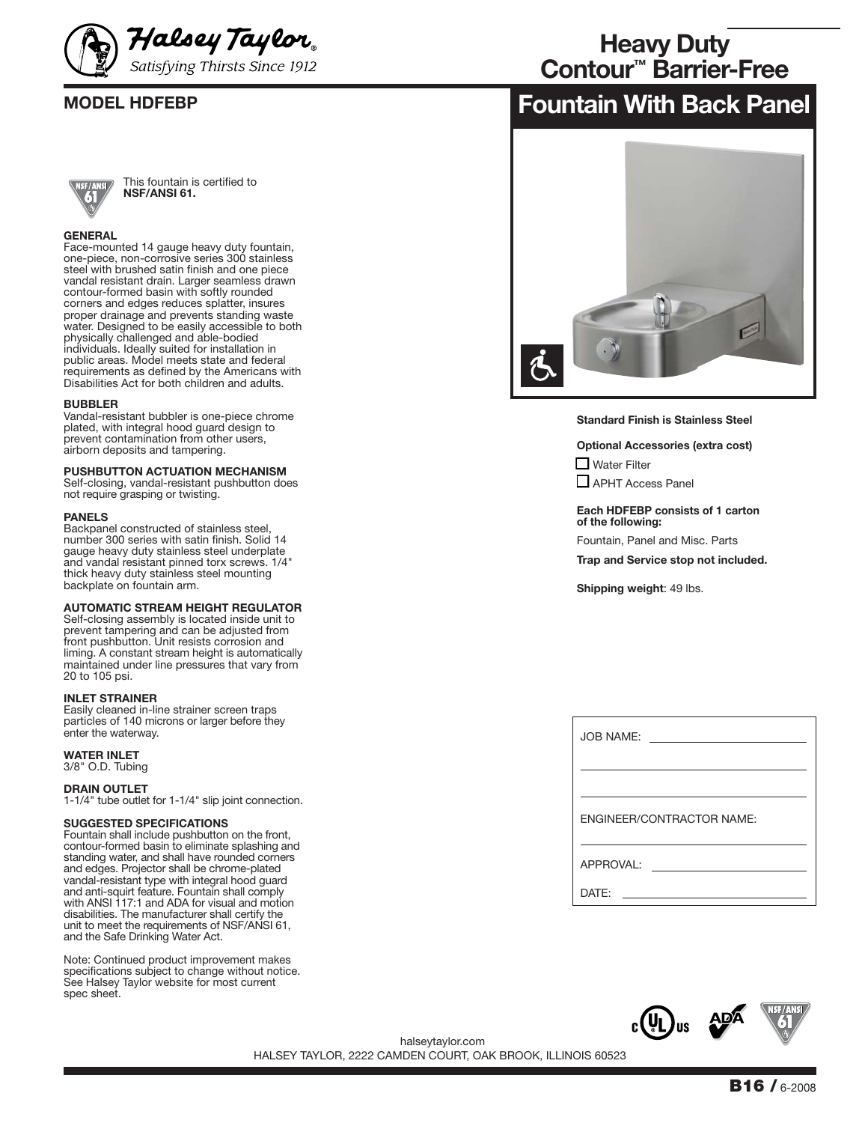



This fountain is certified to **NSF/ANSI 61.**

### **GENERAL**

Face-mounted 14 gauge heavy duty fountain, one-piece, non-corrosive series 300 stainless steel with brushed satin finish and one piece vandal resistant drain. Larger seamless drawn contour-formed basin with softly rounded corners and edges reduces splatter, insures proper drainage and prevents standing waste water. Designed to be easily accessible to both physically challenged and able-bodied individuals. Ideally suited for installation in public areas. Model meets state and federal requirements as defined by the Americans with Disabilities Act for both children and adults.

### **BUBBLER**

Vandal-resistant bubbler is one-piece chrome plated, with integral hood guard design to prevent contamination from other users, airborn deposits and tampering.

### **PUSHBUTTON ACTUATION MECHANISM**

Self-closing, vandal-resistant pushbutton does not require grasping or twisting.

### **PANELS**

Backpanel constructed of stainless steel, number 300 series with satin finish. Solid 14 gauge heavy duty stainless steel underplate and vandal resistant pinned torx screws. 1/4" thick heavy duty stainless steel mounting backplate on fountain arm.

## **AUTOMATIC STREAM HEIGHT REGULATOR**

Self-closing assembly is located inside unit to prevent tampering and can be adjusted from front pushbutton. Unit resists corrosion and liming. A constant stream height is automatically maintained under line pressures that vary from 20 to 105 psi.

### **INLET STRAINER**

Easily cleaned in-line strainer screen traps particles of 140 microns or larger before they enter the waterway.

**WATER INLET**

3/8" O.D. Tubing

### **DRAIN OUTLET**

1-1/4" tube outlet for 1-1/4" slip joint connection.

### **SUGGESTED SPECIFICATIONS**

Fountain shall include pushbutton on the front, contour-formed basin to eliminate splashing and standing water, and shall have rounded corners and edges. Projector shall be chrome-plated vandal-resistant type with integral hood guard and anti-squirt feature. Fountain shall comply with ANSI 117:1 and ADA for visual and motion disabilities. The manufacturer shall certify the unit to meet the requirements of NSF/ANSI 61, and the Safe Drinking Water Act.

Note: Continued product improvement makes specifications subject to change without notice. See Halsey Taylor website for most current spec sheet.

# **Heavy Duty Contour™ Barrier-Free**

# **MODEL HDFEBP Fountain With Back Panel**



**Standard Finish is Stainless Steel**

**Optional Accessories (extra cost)**  $\Box$  Water Filter

■ APHT Access Panel

**Each HDFEBP consists of 1 carton of the following:**

Fountain, Panel and Misc. Parts

**Trap and Service stop not included.**

**Shipping weight**: 49 lbs.

| JOB NAME:                 |
|---------------------------|
|                           |
| ENGINEER/CONTRACTOR NAME: |
| APPROVAL:                 |
| DATF:                     |



HALSEY TAYLOR, 2222 CAMDEN COURT, OAK BROOK, ILLINOIS 60523 halseytaylor.com